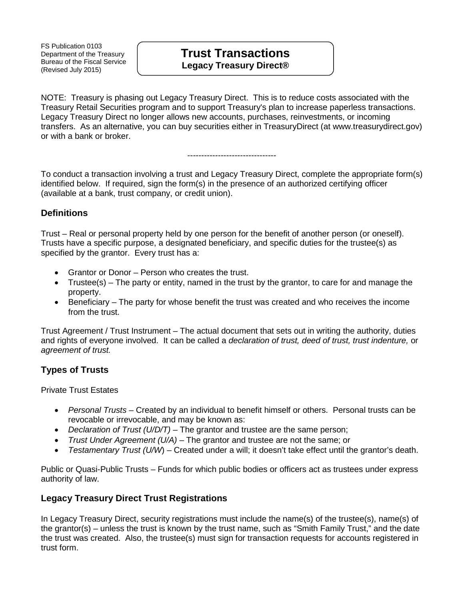FS Publication 0103 Department of the Treasury Bureau of the Fiscal Service (Revised July 2015)

# **Trust Transactions Legacy Treasury Direct®**

NOTE: Treasury is phasing out Legacy Treasury Direct. This is to reduce costs associated with the Treasury Retail Securities program and to support Treasury's plan to increase paperless transactions. Legacy Treasury Direct no longer allows new accounts, purchases, reinvestments, or incoming transfers. As an alternative, you can buy securities either in TreasuryDirect (at www.treasurydirect.gov) or with a bank or broker.

#### --------------------------------

To conduct a transaction involving a trust and Legacy Treasury Direct, complete the appropriate form(s) identified below. If required, sign the form(s) in the presence of an authorized certifying officer (available at a bank, trust company, or credit union).

### **Definitions**

Trust – Real or personal property held by one person for the benefit of another person (or oneself). Trusts have a specific purpose, a designated beneficiary, and specific duties for the trustee(s) as specified by the grantor. Every trust has a:

- Grantor or Donor Person who creates the trust.
- Trustee(s) The party or entity, named in the trust by the grantor, to care for and manage the property.
- Beneficiary The party for whose benefit the trust was created and who receives the income from the trust.

Trust Agreement / Trust Instrument – The actual document that sets out in writing the authority, duties and rights of everyone involved. It can be called a *declaration of trust, deed of trust, trust indenture,* or *agreement of trust.*

### **Types of Trusts**

Private Trust Estates

- *Personal Trusts*  Created by an individual to benefit himself or others. Personal trusts can be revocable or irrevocable, and may be known as:
- *Declaration of Trust (U/D/T) –* The grantor and trustee are the same person;
- *Trust Under Agreement (U/A) –* The grantor and trustee are not the same; or
- *Testamentary Trust (U/W*) Created under a will; it doesn't take effect until the grantor's death.

Public or Quasi-Public Trusts – Funds for which public bodies or officers act as trustees under express authority of law.

### **Legacy Treasury Direct Trust Registrations**

In Legacy Treasury Direct, security registrations must include the name(s) of the trustee(s), name(s) of the grantor(s) – unless the trust is known by the trust name, such as "Smith Family Trust," and the date the trust was created. Also, the trustee(s) must sign for transaction requests for accounts registered in trust form.